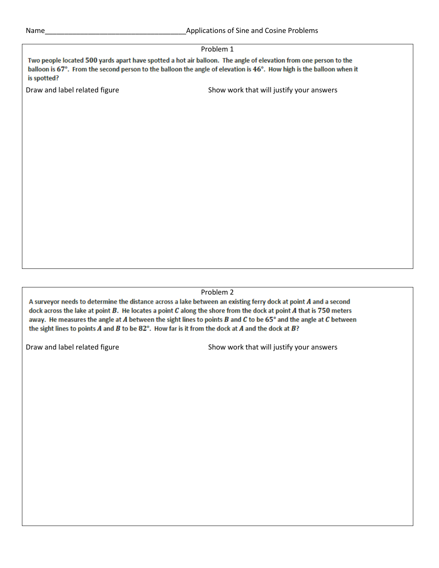## Problem 1 Two people located 500 yards apart have spotted a hot air balloon. The angle of elevation from one person to the balloon is 67°. From the second person to the balloon the angle of elevation is 46°. How high is the balloon when it is spotted? Draw and label related figure Show work that will justify your answers

Problem 2

A surveyor needs to determine the distance across a lake between an existing ferry dock at point A and a second dock across the lake at point  $B$ . He locates a point  $C$  along the shore from the dock at point  $A$  that is 750 meters away. He measures the angle at  $A$  between the sight lines to points  $B$  and  $C$  to be  $65^\circ$  and the angle at  $C$  between the sight lines to points A and B to be  $82^{\circ}$ . How far is it from the dock at A and the dock at B?

Draw and label related figure Show work that will justify your answers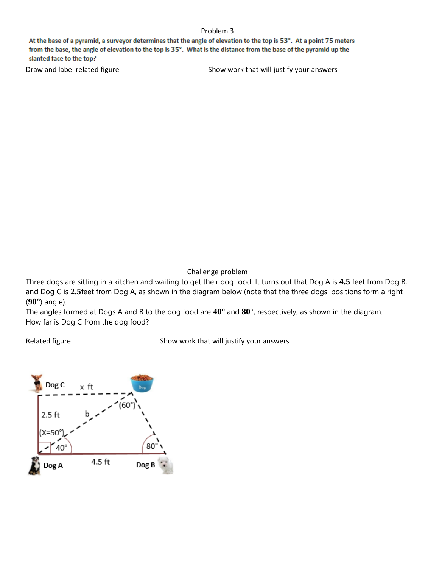| Problem 3                                                                                                           |
|---------------------------------------------------------------------------------------------------------------------|
| At the base of a pyramid, a surveyor determines that the angle of elevation to the top is 53°. At a point 75 meters |
| from the base, the angle of elevation to the top is 35°. What is the distance from the base of the pyramid up the   |
| slanted face to the top?                                                                                            |

Draw and label related figure Show work that will justify your answers

Challenge problem

Three dogs are sitting in a kitchen and waiting to get their dog food. It turns out that Dog A is **4.5** feet from Dog B, and Dog C is **2.5**feet from Dog A, as shown in the diagram below (note that the three dogs' positions form a right (**90°**) angle).

The angles formed at Dogs A and B to the dog food are **40°** and **80°**, respectively, as shown in the diagram. How far is Dog C from the dog food?

Related figure **Show work that will justify your answers** Show work that will justify your answers